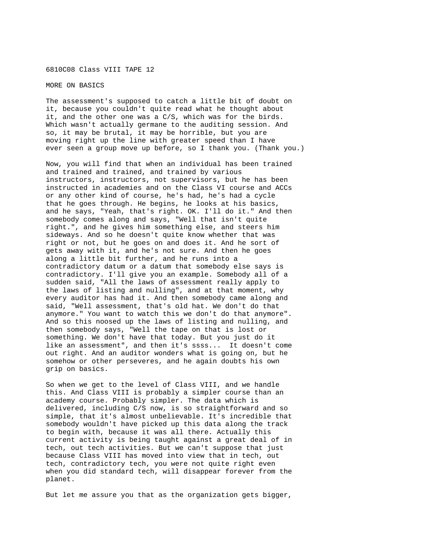6810C08 Class VIII TAPE 12

MORE ON BASICS

The assessment's supposed to catch a little bit of doubt on it, because you couldn't quite read what he thought about it, and the other one was a C/S, which was for the birds. Which wasn't actually germane to the auditing session. And so, it may be brutal, it may be horrible, but you are moving right up the line with greater speed than I have ever seen a group move up before, so I thank you. (Thank you.)

Now, you will find that when an individual has been trained and trained and trained, and trained by various instructors, instructors, not supervisors, but he has been instructed in academies and on the Class VI course and ACCs or any other kind of course, he's had, he's had a cycle that he goes through. He begins, he looks at his basics, and he says, "Yeah, that's right. OK. I'll do it." And then somebody comes along and says, "Well that isn't quite right.", and he gives him something else, and steers him sideways. And so he doesn't quite know whether that was right or not, but he goes on and does it. And he sort of gets away with it, and he's not sure. And then he goes along a little bit further, and he runs into a contradictory datum or a datum that somebody else says is contradictory. I'll give you an example. Somebody all of a sudden said, "All the laws of assessment really apply to the laws of listing and nulling", and at that moment, why every auditor has had it. And then somebody came along and said, "Well assessment, that's old hat. We don't do that anymore." You want to watch this we don't do that anymore". And so this noosed up the laws of listing and nulling, and then somebody says, "Well the tape on that is lost or something. We don't have that today. But you just do it like an assessment", and then it's ssss... It doesn't come out right. And an auditor wonders what is going on, but he somehow or other perseveres, and he again doubts his own grip on basics.

So when we get to the level of Class VIII, and we handle this. And Class VIII is probably a simpler course than an academy course. Probably simpler. The data which is delivered, including C/S now, is so straightforward and so simple, that it's almost unbelievable. It's incredible that somebody wouldn't have picked up this data along the track to begin with, because it was all there. Actually this current activity is being taught against a great deal of in tech, out tech activities. But we can't suppose that just because Class VIII has moved into view that in tech, out tech, contradictory tech, you were not quite right even when you did standard tech, will disappear forever from the planet.

But let me assure you that as the organization gets bigger,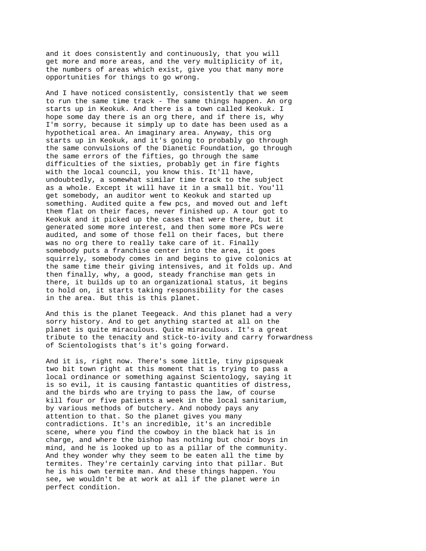and it does consistently and continuously, that you will get more and more areas, and the very multiplicity of it, the numbers of areas which exist, give you that many more opportunities for things to go wrong.

And I have noticed consistently, consistently that we seem to run the same time track - The same things happen. An org starts up in Keokuk. And there is a town called Keokuk. I hope some day there is an org there, and if there is, why I'm sorry, because it simply up to date has been used as a hypothetical area. An imaginary area. Anyway, this org starts up in Keokuk, and it's going to probably go through the same convulsions of the Dianetic Foundation, go through the same errors of the fifties, go through the same difficulties of the sixties, probably get in fire fights with the local council, you know this. It'll have, undoubtedly, a somewhat similar time track to the subject as a whole. Except it will have it in a small bit. You'll get somebody, an auditor went to Keokuk and started up something. Audited quite a few pcs, and moved out and left them flat on their faces, never finished up. A tour got to Keokuk and it picked up the cases that were there, but it generated some more interest, and then some more PCs were audited, and some of those fell on their faces, but there was no org there to really take care of it. Finally somebody puts a franchise center into the area, it goes squirrely, somebody comes in and begins to give colonics at the same time their giving intensives, and it folds up. And then finally, why, a good, steady franchise man gets in there, it builds up to an organizational status, it begins to hold on, it starts taking responsibility for the cases in the area. But this is this planet.

And this is the planet Teegeack. And this planet had a very sorry history. And to get anything started at all on the planet is quite miraculous. Quite miraculous. It's a great tribute to the tenacity and stick-to-ivity and carry forwardness of Scientologists that's it's going forward.

And it is, right now. There's some little, tiny pipsqueak two bit town right at this moment that is trying to pass a local ordinance or something against Scientology, saying it is so evil, it is causing fantastic quantities of distress, and the birds who are trying to pass the law, of course kill four or five patients a week in the local sanitarium, by various methods of butchery. And nobody pays any attention to that. So the planet gives you many contradictions. It's an incredible, it's an incredible scene, where you find the cowboy in the black hat is in charge, and where the bishop has nothing but choir boys in mind, and he is looked up to as a pillar of the community. And they wonder why they seem to be eaten all the time by termites. They're certainly carving into that pillar. But he is his own termite man. And these things happen. You see, we wouldn't be at work at all if the planet were in perfect condition.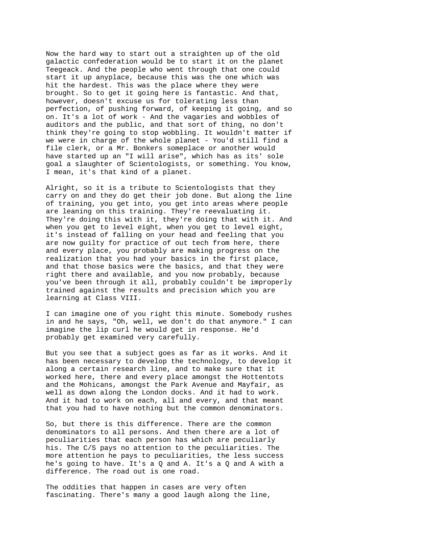Now the hard way to start out a straighten up of the old galactic confederation would be to start it on the planet Teegeack. And the people who went through that one could start it up anyplace, because this was the one which was hit the hardest. This was the place where they were brought. So to get it going here is fantastic. And that, however, doesn't excuse us for tolerating less than perfection, of pushing forward, of keeping it going, and so on. It's a lot of work - And the vagaries and wobbles of auditors and the public, and that sort of thing, no don't think they're going to stop wobbling. It wouldn't matter if we were in charge of the whole planet - You'd still find a file clerk, or a Mr. Bonkers someplace or another would have started up an "I will arise", which has as its' sole goal a slaughter of Scientologists, or something. You know, I mean, it's that kind of a planet.

Alright, so it is a tribute to Scientologists that they carry on and they do get their job done. But along the line of training, you get into, you get into areas where people are leaning on this training. They're reevaluating it. They're doing this with it, they're doing that with it. And when you get to level eight, when you get to level eight, it's instead of falling on your head and feeling that you are now guilty for practice of out tech from here, there and every place, you probably are making progress on the realization that you had your basics in the first place, and that those basics were the basics, and that they were right there and available, and you now probably, because you've been through it all, probably couldn't be improperly trained against the results and precision which you are learning at Class VIII.

I can imagine one of you right this minute. Somebody rushes in and he says, "Oh, well, we don't do that anymore." I can imagine the lip curl he would get in response. He'd probably get examined very carefully.

But you see that a subject goes as far as it works. And it has been necessary to develop the technology, to develop it along a certain research line, and to make sure that it worked here, there and every place amongst the Hottentots and the Mohicans, amongst the Park Avenue and Mayfair, as well as down along the London docks. And it had to work. And it had to work on each, all and every, and that meant that you had to have nothing but the common denominators.

So, but there is this difference. There are the common denominators to all persons. And then there are a lot of peculiarities that each person has which are peculiarly his. The C/S pays no attention to the peculiarities. The more attention he pays to peculiarities, the less success he's going to have. It's a Q and A. It's a Q and A with a difference. The road out is one road.

The oddities that happen in cases are very often fascinating. There's many a good laugh along the line,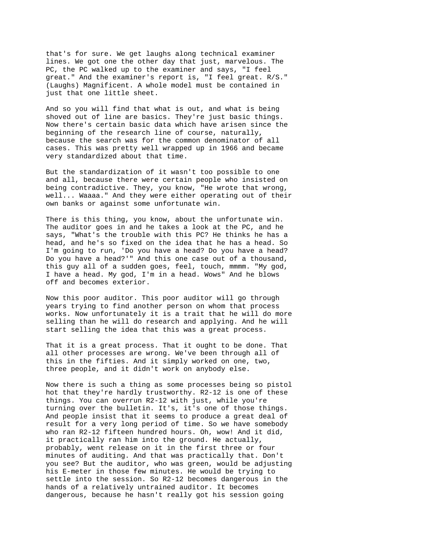that's for sure. We get laughs along technical examiner lines. We got one the other day that just, marvelous. The PC, the PC walked up to the examiner and says, "I feel great." And the examiner's report is, "I feel great. R/S." (Laughs) Magnificent. A whole model must be contained in just that one little sheet.

And so you will find that what is out, and what is being shoved out of line are basics. They're just basic things. Now there's certain basic data which have arisen since the beginning of the research line of course, naturally, because the search was for the common denominator of all cases. This was pretty well wrapped up in 1966 and became very standardized about that time.

But the standardization of it wasn't too possible to one and all, because there were certain people who insisted on being contradictive. They, you know, "He wrote that wrong, well... Waaaa." And they were either operating out of their own banks or against some unfortunate win.

There is this thing, you know, about the unfortunate win. The auditor goes in and he takes a look at the PC, and he says, "What's the trouble with this PC? He thinks he has a head, and he's so fixed on the idea that he has a head. So I'm going to run, 'Do you have a head? Do you have a head? Do you have a head?'" And this one case out of a thousand, this guy all of a sudden goes, feel, touch, mmmm. "My god, I have a head. My god, I'm in a head. Wows" And he blows off and becomes exterior.

Now this poor auditor. This poor auditor will go through years trying to find another person on whom that process works. Now unfortunately it is a trait that he will do more selling than he will do research and applying. And he will start selling the idea that this was a great process.

That it is a great process. That it ought to be done. That all other processes are wrong. We've been through all of this in the fifties. And it simply worked on one, two, three people, and it didn't work on anybody else.

Now there is such a thing as some processes being so pistol hot that they're hardly trustworthy. R2-12 is one of these things. You can overrun R2-12 with just, while you're turning over the bulletin. It's, it's one of those things. And people insist that it seems to produce a great deal of result for a very long period of time. So we have somebody who ran R2-12 fifteen hundred hours. Oh, wow! And it did, it practically ran him into the ground. He actually, probably, went release on it in the first three or four minutes of auditing. And that was practically that. Don't you see? But the auditor, who was green, would be adjusting his E-meter in those few minutes. He would be trying to settle into the session. So R2-12 becomes dangerous in the hands of a relatively untrained auditor. It becomes dangerous, because he hasn't really got his session going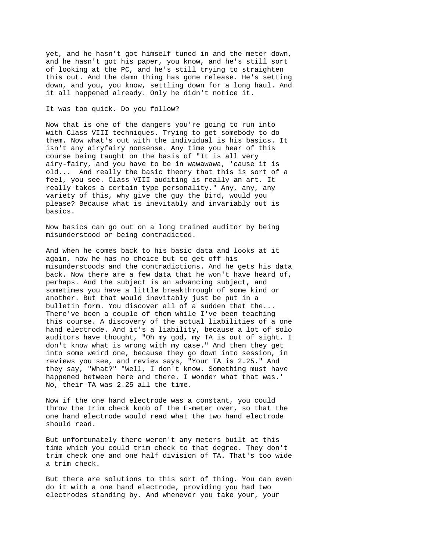yet, and he hasn't got himself tuned in and the meter down, and he hasn't got his paper, you know, and he's still sort of looking at the PC, and he's still trying to straighten this out. And the damn thing has gone release. He's setting down, and you, you know, settling down for a long haul. And it all happened already. Only he didn't notice it.

## It was too quick. Do you follow?

Now that is one of the dangers you're going to run into with Class VIII techniques. Trying to get somebody to do them. Now what's out with the individual is his basics. It isn't any airyfairy nonsense. Any time you hear of this course being taught on the basis of "It is all very airy-fairy, and you have to be in wawawawa, 'cause it is old... And really the basic theory that this is sort of a feel, you see. Class VIII auditing is really an art. It really takes a certain type personality." Any, any, any variety of this, why give the guy the bird, would you please? Because what is inevitably and invariably out is basics.

Now basics can go out on a long trained auditor by being misunderstood or being contradicted.

And when he comes back to his basic data and looks at it again, now he has no choice but to get off his misunderstoods and the contradictions. And he gets his data back. Now there are a few data that he won't have heard of, perhaps. And the subject is an advancing subject, and sometimes you have a little breakthrough of some kind or another. But that would inevitably just be put in a bulletin form. You discover all of a sudden that the... There've been a couple of them while I've been teaching this course. A discovery of the actual liabilities of a one hand electrode. And it's a liability, because a lot of solo auditors have thought, "Oh my god, my TA is out of sight. I don't know what is wrong with my case." And then they get into some weird one, because they go down into session, in reviews you see, and review says, "Your TA is 2.25." And they say, "What?" "Well, I don't know. Something must have happened between here and there. I wonder what that was.' No, their TA was 2.25 all the time.

Now if the one hand electrode was a constant, you could throw the trim check knob of the E-meter over, so that the one hand electrode would read what the two hand electrode should read.

But unfortunately there weren't any meters built at this time which you could trim check to that degree. They don't trim check one and one half division of TA. That's too wide a trim check.

But there are solutions to this sort of thing. You can even do it with a one hand electrode, providing you had two electrodes standing by. And whenever you take your, your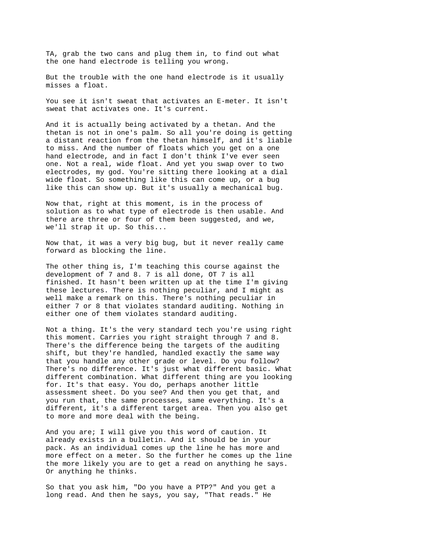TA, grab the two cans and plug them in, to find out what the one hand electrode is telling you wrong.

But the trouble with the one hand electrode is it usually misses a float.

You see it isn't sweat that activates an E-meter. It isn't sweat that activates one. It's current.

And it is actually being activated by a thetan. And the thetan is not in one's palm. So all you're doing is getting a distant reaction from the thetan himself, and it's liable to miss. And the number of floats which you get on a one hand electrode, and in fact I don't think I've ever seen one. Not a real, wide float. And yet you swap over to two electrodes, my god. You're sitting there looking at a dial wide float. So something like this can come up, or a bug like this can show up. But it's usually a mechanical bug.

Now that, right at this moment, is in the process of solution as to what type of electrode is then usable. And there are three or four of them been suggested, and we, we'll strap it up. So this...

Now that, it was a very big bug, but it never really came forward as blocking the line.

The other thing is, I'm teaching this course against the development of 7 and 8. 7 is all done, OT 7 is all finished. It hasn't been written up at the time I'm giving these lectures. There is nothing peculiar, and I might as well make a remark on this. There's nothing peculiar in either 7 or 8 that violates standard auditing. Nothing in either one of them violates standard auditing.

Not a thing. It's the very standard tech you're using right this moment. Carries you right straight through 7 and 8. There's the difference being the targets of the auditing shift, but they're handled, handled exactly the same way that you handle any other grade or level. Do you follow? There's no difference. It's just what different basic. What different combination. What different thing are you looking for. It's that easy. You do, perhaps another little assessment sheet. Do you see? And then you get that, and you run that, the same processes, same everything. It's a different, it's a different target area. Then you also get to more and more deal with the being.

And you are; I will give you this word of caution. It already exists in a bulletin. And it should be in your pack. As an individual comes up the line he has more and more effect on a meter. So the further he comes up the line the more likely you are to get a read on anything he says. Or anything he thinks.

So that you ask him, "Do you have a PTP?" And you get a long read. And then he says, you say, "That reads." He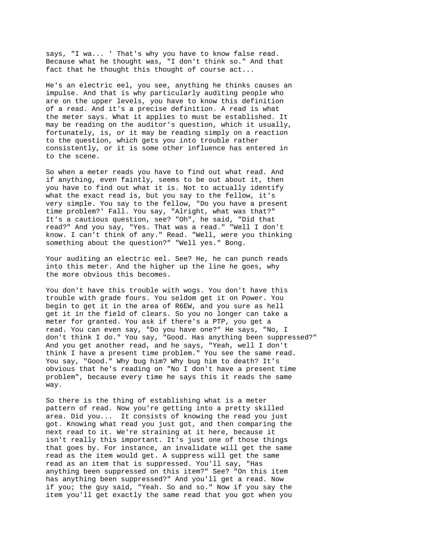says, "I wa... ' That's why you have to know false read. Because what he thought was, "I don't think so." And that fact that he thought this thought of course act...

He's an electric eel, you see, anything he thinks causes an impulse. And that is why particularly auditing people who are on the upper levels, you have to know this definition of a read. And it's a precise definition. A read is what the meter says. What it applies to must be established. It may be reading on the auditor's question, which it usually, fortunately, is, or it may be reading simply on a reaction to the question, which gets you into trouble rather consistently, or it is some other influence has entered in to the scene.

So when a meter reads you have to find out what read. And if anything, even faintly, seems to be out about it, then you have to find out what it is. Not to actually identify what the exact read is, but you say to the fellow, it's very simple. You say to the fellow, "Do you have a present time problem?' Fall. You say, "Alright, what was that?" It's a cautious question, see? "Oh", he said, "Did that read?" And you say, "Yes. That was a read." "Well I don't know. I can't think of any." Read. "Well, were you thinking something about the question?" "Well yes." Bong.

Your auditing an electric eel. See? He, he can punch reads into this meter. And the higher up the line he goes, why the more obvious this becomes.

You don't have this trouble with wogs. You don't have this trouble with grade fours. You seldom get it on Power. You begin to get it in the area of R6EW, and you sure as hell get it in the field of clears. So you no longer can take a meter for granted. You ask if there's a PTP, you get a read. You can even say, "Do you have one?" He says, "No, I don't think I do." You say, "Good. Has anything been suppressed?" And you get another read, and he says, "Yeah, well I don't think I have a present time problem." You see the same read. You say, "Good." Why bug him? Why bug him to death? It's obvious that he's reading on "No I don't have a present time problem", because every time he says this it reads the same way.

So there is the thing of establishing what is a meter pattern of read. Now you're getting into a pretty skilled area. Did you... It consists of knowing the read you just got. Knowing what read you just got, and then comparing the next read to it. We're straining at it here, because it isn't really this important. It's just one of those things that goes by. For instance, an invalidate will get the same read as the item would get. A suppress will get the same read as an item that is suppressed. You'll say, "Has anything been suppressed on this item?" See? "On this item has anything been suppressed?" And you'll get a read. Now if you; the guy said, "Yeah. So and so." Now if you say the item you'll get exactly the same read that you got when you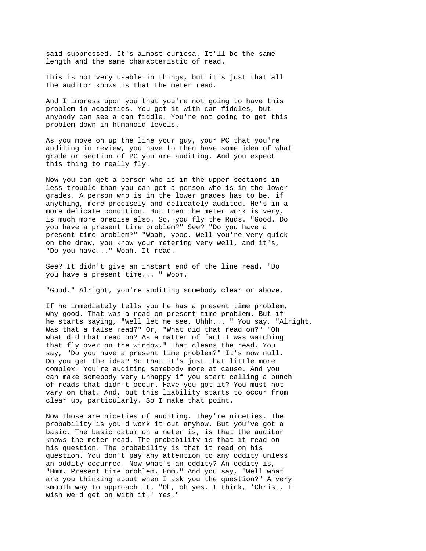said suppressed. It's almost curiosa. It'll be the same length and the same characteristic of read.

This is not very usable in things, but it's just that all the auditor knows is that the meter read.

And I impress upon you that you're not going to have this problem in academies. You get it with can fiddles, but anybody can see a can fiddle. You're not going to get this problem down in humanoid levels.

As you move on up the line your guy, your PC that you're auditing in review, you have to then have some idea of what grade or section of PC you are auditing. And you expect this thing to really fly.

Now you can get a person who is in the upper sections in less trouble than you can get a person who is in the lower grades. A person who is in the lower grades has to be, if anything, more precisely and delicately audited. He's in a more delicate condition. But then the meter work is very, is much more precise also. So, you fly the Ruds. "Good. Do you have a present time problem?" See? "Do you have a present time problem?" "Woah, yooo. Well you're very quick on the draw, you know your metering very well, and it's, "Do you have..." Woah. It read.

See? It didn't give an instant end of the line read. "Do you have a present time... " Woom.

"Good." Alright, you're auditing somebody clear or above.

If he immediately tells you he has a present time problem, why good. That was a read on present time problem. But if he starts saying, "Well let me see. Uhhh... " You say, "Alright. Was that a false read?" Or, "What did that read on?" "Oh what did that read on? As a matter of fact I was watching that fly over on the window." That cleans the read. You say, "Do you have a present time problem?" It's now null. Do you get the idea? So that it's just that little more complex. You're auditing somebody more at cause. And you can make somebody very unhappy if you start calling a bunch of reads that didn't occur. Have you got it? You must not vary on that. And, but this liability starts to occur from clear up, particularly. So I make that point.

Now those are niceties of auditing. They're niceties. The probability is you'd work it out anyhow. But you've got a basic. The basic datum on a meter is, is that the auditor knows the meter read. The probability is that it read on his question. The probability is that it read on his question. You don't pay any attention to any oddity unless an oddity occurred. Now what's an oddity? An oddity is, "Hmm. Present time problem. Hmm." And you say, "Well what are you thinking about when I ask you the question?" A very smooth way to approach it. "Oh, oh yes. I think, 'Christ, I wish we'd get on with it.' Yes."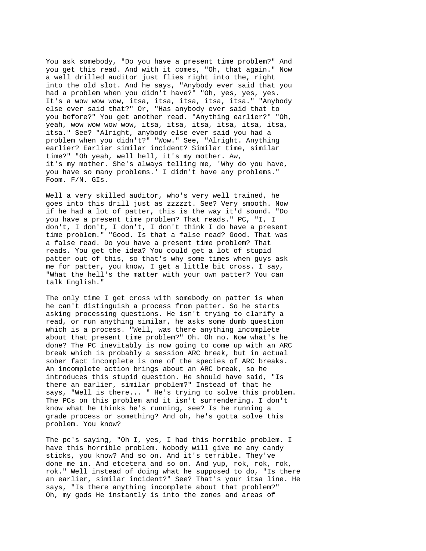You ask somebody, "Do you have a present time problem?" And you get this read. And with it comes, "Oh, that again." Now a well drilled auditor just flies right into the, right into the old slot. And he says, "Anybody ever said that you had a problem when you didn't have?" "Oh, yes, yes, yes. It's a wow wow wow, itsa, itsa, itsa, itsa, itsa." "Anybody else ever said that?" Or, "Has anybody ever said that to you before?" You get another read. "Anything earlier?" "Oh, yeah, wow wow wow wow, itsa, itsa, itsa, itsa, itsa, itsa, itsa." See? "Alright, anybody else ever said you had a problem when you didn't?" "Wow." See, "Alright. Anything earlier? Earlier similar incident? Similar time, similar time?" "Oh yeah, well hell, it's my mother. Aw, it's my mother. She's always telling me, 'Why do you have, you have so many problems.' I didn't have any problems." Foom. F/N. GIs.

Well a very skilled auditor, who's very well trained, he goes into this drill just as zzzzzt. See? Very smooth. Now if he had a lot of patter, this is the way it'd sound. "Do you have a present time problem? That reads." PC, "I, I don't, I don't, I don't, I don't think I do have a present time problem." "Good. Is that a false read? Good. That was a false read. Do you have a present time problem? That reads. You get the idea? You could get a lot of stupid patter out of this, so that's why some times when guys ask me for patter, you know, I get a little bit cross. I say, "What the hell's the matter with your own patter? You can talk English."

The only time I get cross with somebody on patter is when he can't distinguish a process from patter. So he starts asking processing questions. He isn't trying to clarify a read, or run anything similar, he asks some dumb question which is a process. "Well, was there anything incomplete about that present time problem?" Oh. Oh no. Now what's he done? The PC inevitably is now going to come up with an ARC break which is probably a session ARC break, but in actual sober fact incomplete is one of the species of ARC breaks. An incomplete action brings about an ARC break, so he introduces this stupid question. He should have said, "Is there an earlier, similar problem?" Instead of that he says, "Well is there... " He's trying to solve this problem. The PCs on this problem and it isn't surrendering. I don't know what he thinks he's running, see? Is he running a grade process or something? And oh, he's gotta solve this problem. You know?

The pc's saying, "Oh I, yes, I had this horrible problem. I have this horrible problem. Nobody will give me any candy sticks, you know? And so on. And it's terrible. They've done me in. And etcetera and so on. And yup, rok, rok, rok, rok." Well instead of doing what he supposed to do, "Is there an earlier, similar incident?" See? That's your itsa line. He says, "Is there anything incomplete about that problem?" Oh, my gods He instantly is into the zones and areas of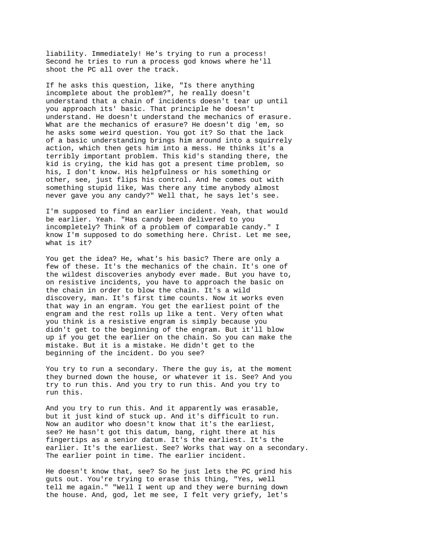liability. Immediately! He's trying to run a process! Second he tries to run a process god knows where he'll shoot the PC all over the track.

If he asks this question, like, "Is there anything incomplete about the problem?", he really doesn't understand that a chain of incidents doesn't tear up until you approach its' basic. That principle he doesn't understand. He doesn't understand the mechanics of erasure. What are the mechanics of erasure? He doesn't dig 'em, so he asks some weird question. You got it? So that the lack of a basic understanding brings him around into a squirrely action, which then gets him into a mess. He thinks it's a terribly important problem. This kid's standing there, the kid is crying, the kid has got a present time problem, so his, I don't know. His helpfulness or his something or other, see, just flips his control. And he comes out with something stupid like, Was there any time anybody almost never gave you any candy?" Well that, he says let's see.

I'm supposed to find an earlier incident. Yeah, that would be earlier. Yeah. "Has candy been delivered to you incompletely? Think of a problem of comparable candy." I know I'm supposed to do something here. Christ. Let me see, what is it?

You get the idea? He, what's his basic? There are only a few of these. It's the mechanics of the chain. It's one of the wildest discoveries anybody ever made. But you have to, on resistive incidents, you have to approach the basic on the chain in order to blow the chain. It's a wild discovery, man. It's first time counts. Now it works even that way in an engram. You get the earliest point of the engram and the rest rolls up like a tent. Very often what you think is a resistive engram is simply because you didn't get to the beginning of the engram. But it'll blow up if you get the earlier on the chain. So you can make the mistake. But it is a mistake. He didn't get to the beginning of the incident. Do you see?

You try to run a secondary. There the guy is, at the moment they burned down the house, or whatever it is. See? And you try to run this. And you try to run this. And you try to run this.

And you try to run this. And it apparently was erasable, but it just kind of stuck up. And it's difficult to run. Now an auditor who doesn't know that it's the earliest, see? He hasn't got this datum, bang, right there at his fingertips as a senior datum. It's the earliest. It's the earlier. It's the earliest. See? Works that way on a secondary. The earlier point in time. The earlier incident.

He doesn't know that, see? So he just lets the PC grind his guts out. You're trying to erase this thing, "Yes, well tell me again." "Well I went up and they were burning down the house. And, god, let me see, I felt very griefy, let's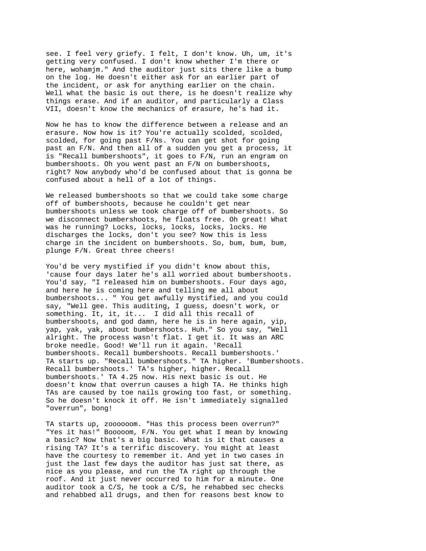see. I feel very griefy. I felt, I don't know. Uh, um, it's getting very confused. I don't know whether I'm there or here, wohamjm." And the auditor just sits there like a bump on the log. He doesn't either ask for an earlier part of the incident, or ask for anything earlier on the chain. Well what the basic is out there, is he doesn't realize why things erase. And if an auditor, and particularly a Class VII, doesn't know the mechanics of erasure, he's had it.

Now he has to know the difference between a release and an erasure. Now how is it? You're actually scolded, scolded, scolded, for going past F/Ns. You can get shot for going past an F/N. And then all of a sudden you get a process, it is "Recall bumbershoots", it goes to F/N, run an engram on bumbershoots. Oh you went past an F/N on bumbershoots, right? Now anybody who'd be confused about that is gonna be confused about a hell of a lot of things.

We released bumbershoots so that we could take some charge off of bumbershoots, because he couldn't get near bumbershoots unless we took charge off of bumbershoots. So we disconnect bumbershoots, he floats free. Oh great! What was he running? Locks, locks, locks, locks, locks. He discharges the locks, don't you see? Now this is less charge in the incident on bumbershoots. So, bum, bum, bum, plunge F/N. Great three cheers!

You'd be very mystified if you didn't know about this, 'cause four days later he's all worried about bumbershoots. You'd say, "I released him on bumbershoots. Four days ago, and here he is coming here and telling me all about bumbershoots... " You get awfully mystified, and you could say, "Well gee. This auditing, I guess, doesn't work, or something. It, it, it... I did all this recall of bumbershoots, and god damn, here he is in here again, yip, yap, yak, yak, about bumbershoots. Huh." So you say, "Well alright. The process wasn't flat. I get it. It was an ARC broke needle. Good! We'll run it again. 'Recall bumbershoots. Recall bumbershoots. Recall bumbershoots.' TA starts up. "Recall bumbershoots." TA higher. 'Bumbershoots. Recall bumbershoots.' TA's higher, higher. Recall bumbershoots.' TA 4.25 now. His next basic is out. He doesn't know that overrun causes a high TA. He thinks high TAs are caused by toe nails growing too fast, or something. So he doesn't knock it off. He isn't immediately signalled "overrun", bong!

TA starts up, zoooooom. "Has this process been overrun?" "Yes it has!" Booooom, F/N. You get what I mean by knowing a basic? Now that's a big basic. What is it that causes a rising TA? It's a terrific discovery. You might at least have the courtesy to remember it. And yet in two cases in just the last few days the auditor has just sat there, as nice as you please, and run the TA right up through the roof. And it just never occurred to him for a minute. One auditor took a C/S, he took a C/S, he rehabbed sec checks and rehabbed all drugs, and then for reasons best know to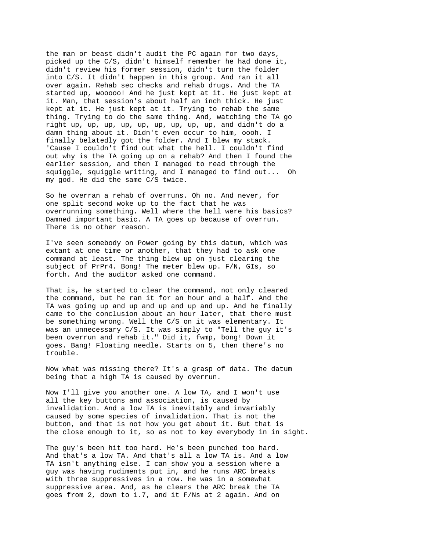the man or beast didn't audit the PC again for two days, picked up the C/S, didn't himself remember he had done it, didn't review his former session, didn't turn the folder into C/S. It didn't happen in this group. And ran it all over again. Rehab sec checks and rehab drugs. And the TA started up, wooooo! And he just kept at it. He just kept at it. Man, that session's about half an inch thick. He just kept at it. He just kept at it. Trying to rehab the same thing. Trying to do the same thing. And, watching the TA go right up, up, up, up, up, up, up, up, up, and didn't do a damn thing about it. Didn't even occur to him, oooh. I finally belatedly got the folder. And I blew my stack. 'Cause I couldn't find out what the hell. I couldn't find out why is the TA going up on a rehab? And then I found the earlier session, and then I managed to read through the squiggle, squiggle writing, and I managed to find out... Oh my god. He did the same C/S twice.

So he overran a rehab of overruns. Oh no. And never, for one split second woke up to the fact that he was overrunning something. Well where the hell were his basics? Damned important basic. A TA goes up because of overrun. There is no other reason.

I've seen somebody on Power going by this datum, which was extant at one time or another, that they had to ask one command at least. The thing blew up on just clearing the subject of PrPr4. Bong! The meter blew up. F/N, GIs, so forth. And the auditor asked one command.

That is, he started to clear the command, not only cleared the command, but he ran it for an hour and a half. And the TA was going up and up and up and up and up. And he finally came to the conclusion about an hour later, that there must be something wrong. Well the C/S on it was elementary. It was an unnecessary C/S. It was simply to "Tell the guy it's been overrun and rehab it." Did it, fwmp, bong! Down it goes. Bang! Floating needle. Starts on 5, then there's no trouble.

Now what was missing there? It's a grasp of data. The datum being that a high TA is caused by overrun.

Now I'll give you another one. A low TA, and I won't use all the key buttons and association, is caused by invalidation. And a low TA is inevitably and invariably caused by some species of invalidation. That is not the button, and that is not how you get about it. But that is the close enough to it, so as not to key everybody in in sight.

The guy's been hit too hard. He's been punched too hard. And that's a low TA. And that's all a low TA is. And a low TA isn't anything else. I can show you a session where a guy was having rudiments put in, and he runs ARC breaks with three suppressives in a row. He was in a somewhat suppressive area. And, as he clears the ARC break the TA goes from 2, down to 1.7, and it F/Ns at 2 again. And on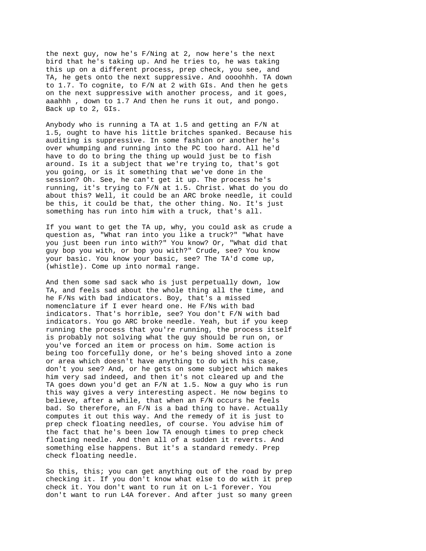the next guy, now he's F/Ning at 2, now here's the next bird that he's taking up. And he tries to, he was taking this up on a different process, prep check, you see, and TA, he gets onto the next suppressive. And oooohhh. TA down to 1.7. To cognite, to F/N at 2 with GIs. And then he gets on the next suppressive with another process, and it goes, aaahhh , down to 1.7 And then he runs it out, and pongo. Back up to 2, GIs.

Anybody who is running a TA at 1.5 and getting an F/N at 1.5, ought to have his little britches spanked. Because his auditing is suppressive. In some fashion or another he's over whumping and running into the PC too hard. All he'd have to do to bring the thing up would just be to fish around. Is it a subject that we're trying to, that's got you going, or is it something that we've done in the session? Oh. See, he can't get it up. The process he's running, it's trying to F/N at 1.5. Christ. What do you do about this? Well, it could be an ARC broke needle, it could be this, it could be that, the other thing. No. It's just something has run into him with a truck, that's all.

If you want to get the TA up, why, you could ask as crude a question as, "What ran into you like a truck?" "What have you just been run into with?" You know? Or, "What did that guy bop you with, or bop you with?" Crude, see? You know your basic. You know your basic, see? The TA'd come up, (whistle). Come up into normal range.

And then some sad sack who is just perpetually down, low TA, and feels sad about the whole thing all the time, and he F/Ns with bad indicators. Boy, that's a missed nomenclature if I ever heard one. He F/Ns with bad indicators. That's horrible, see? You don't F/N with bad indicators. You go ARC broke needle. Yeah, but if you keep running the process that you're running, the process itself is probably not solving what the guy should be run on, or you've forced an item or process on him. Some action is being too forcefully done, or he's being shoved into a zone or area which doesn't have anything to do with his case, don't you see? And, or he gets on some subject which makes him very sad indeed, and then it's not cleared up and the TA goes down you'd get an F/N at 1.5. Now a guy who is run this way gives a very interesting aspect. He now begins to believe, after a while, that when an F/N occurs he feels bad. So therefore, an F/N is a bad thing to have. Actually computes it out this way. And the remedy of it is just to prep check floating needles, of course. You advise him of the fact that he's been low TA enough times to prep check floating needle. And then all of a sudden it reverts. And something else happens. But it's a standard remedy. Prep check floating needle.

So this, this; you can get anything out of the road by prep checking it. If you don't know what else to do with it prep check it. You don't want to run it on L-1 forever. You don't want to run L4A forever. And after just so many green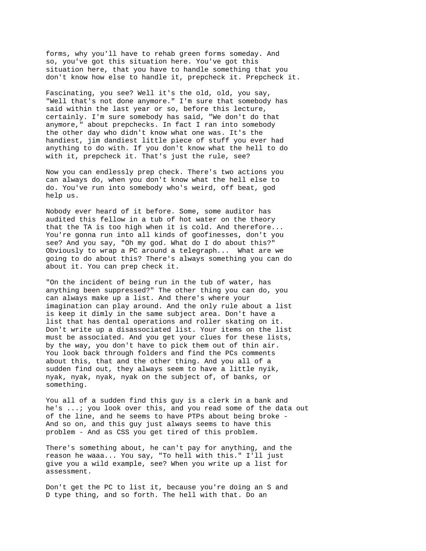forms, why you'll have to rehab green forms someday. And so, you've got this situation here. You've got this situation here, that you have to handle something that you don't know how else to handle it, prepcheck it. Prepcheck it.

Fascinating, you see? Well it's the old, old, you say, "Well that's not done anymore." I'm sure that somebody has said within the last year or so, before this lecture, certainly. I'm sure somebody has said, "We don't do that anymore," about prepchecks. In fact I ran into somebody the other day who didn't know what one was. It's the handiest, jim dandiest little piece of stuff you ever had anything to do with. If you don't know what the hell to do with it, prepcheck it. That's just the rule, see?

Now you can endlessly prep check. There's two actions you can always do, when you don't know what the hell else to do. You've run into somebody who's weird, off beat, god help us.

Nobody ever heard of it before. Some, some auditor has audited this fellow in a tub of hot water on the theory that the TA is too high when it is cold. And therefore... You're gonna run into all kinds of goofinesses, don't you see? And you say, "Oh my god. What do I do about this?" Obviously to wrap a PC around a telegraph... What are we going to do about this? There's always something you can do about it. You can prep check it.

"On the incident of being run in the tub of water, has anything been suppressed?" The other thing you can do, you can always make up a list. And there's where your imagination can play around. And the only rule about a list is keep it dimly in the same subject area. Don't have a list that has dental operations and roller skating on it. Don't write up a disassociated list. Your items on the list must be associated. And you get your clues for these lists, by the way, you don't have to pick them out of thin air. You look back through folders and find the PCs comments about this, that and the other thing. And you all of a sudden find out, they always seem to have a little nyik, nyak, nyak, nyak, nyak on the subject of, of banks, or something.

You all of a sudden find this guy is a clerk in a bank and he's ...; you look over this, and you read some of the data out of the line, and he seems to have PTPs about being broke - And so on, and this guy just always seems to have this problem - And as CSS you get tired of this problem.

There's something about, he can't pay for anything, and the reason he waaa... You say, "To hell with this." I'll just give you a wild example, see? When you write up a list for assessment.

Don't get the PC to list it, because you're doing an S and D type thing, and so forth. The hell with that. Do an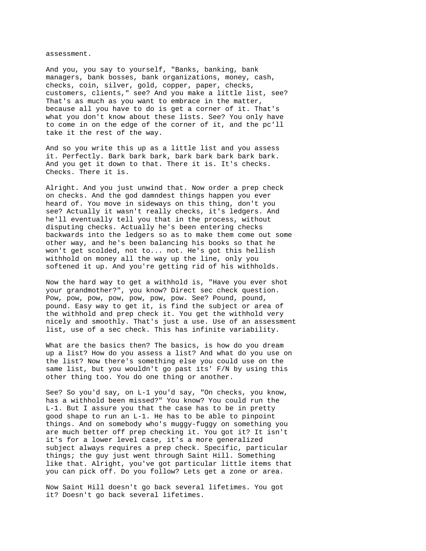assessment.

And you, you say to yourself, "Banks, banking, bank managers, bank bosses, bank organizations, money, cash, checks, coin, silver, gold, copper, paper, checks, customers, clients," see? And you make a little list, see? That's as much as you want to embrace in the matter, because all you have to do is get a corner of it. That's what you don't know about these lists. See? You only have to come in on the edge of the corner of it, and the pc'll take it the rest of the way.

And so you write this up as a little list and you assess it. Perfectly. Bark bark bark, bark bark bark bark bark. And you get it down to that. There it is. It's checks. Checks. There it is.

Alright. And you just unwind that. Now order a prep check on checks. And the god damndest things happen you ever heard of. You move in sideways on this thing, don't you see? Actually it wasn't really checks, it's ledgers. And he'll eventually tell you that in the process, without disputing checks. Actually he's been entering checks backwards into the ledgers so as to make them come out some other way, and he's been balancing his books so that he won't get scolded, not to... not. He's got this hellish withhold on money all the way up the line, only you softened it up. And you're getting rid of his withholds.

Now the hard way to get a withhold is, "Have you ever shot your grandmother?", you know? Direct sec check question. Pow, pow, pow, pow, pow, pow, pow. See? Pound, pound, pound. Easy way to get it, is find the subject or area of the withhold and prep check it. You get the withhold very nicely and smoothly. That's just a use. Use of an assessment list, use of a sec check. This has infinite variability.

What are the basics then? The basics, is how do you dream up a list? How do you assess a list? And what do you use on the list? Now there's something else you could use on the same list, but you wouldn't go past its' F/N by using this other thing too. You do one thing or another.

See? So you'd say, on L-1 you'd say, "On checks, you know, has a withhold been missed?" You know? You could run the L-1. But I assure you that the case has to be in pretty good shape to run an L-1. He has to be able to pinpoint things. And on somebody who's muggy-fuggy on something you are much better off prep checking it. You got it? It isn't it's for a lower level case, it's a more generalized subject always requires a prep check. Specific, particular things; the guy just went through Saint Hill. Something like that. Alright, you've got particular little items that you can pick off. Do you follow? Lets get a zone or area.

Now Saint Hill doesn't go back several lifetimes. You got it? Doesn't go back several lifetimes.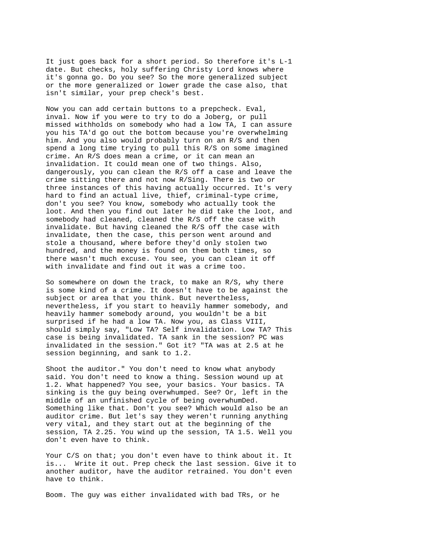It just goes back for a short period. So therefore it's L-1 date. But checks, holy suffering Christy Lord knows where it's gonna go. Do you see? So the more generalized subject or the more generalized or lower grade the case also, that isn't similar, your prep check's best.

Now you can add certain buttons to a prepcheck. Eval, inval. Now if you were to try to do a Joberg, or pull missed withholds on somebody who had a low TA, I can assure you his TA'd go out the bottom because you're overwhelming him. And you also would probably turn on an R/S and then spend a long time trying to pull this R/S on some imagined crime. An R/S does mean a crime, or it can mean an invalidation. It could mean one of two things. Also, dangerously, you can clean the R/S off a case and leave the crime sitting there and not now R/Sing. There is two or three instances of this having actually occurred. It's very hard to find an actual live, thief, criminal-type crime, don't you see? You know, somebody who actually took the loot. And then you find out later he did take the loot, and somebody had cleaned, cleaned the R/S off the case with invalidate. But having cleaned the R/S off the case with invalidate, then the case, this person went around and stole a thousand, where before they'd only stolen two hundred, and the money is found on them both times, so there wasn't much excuse. You see, you can clean it off with invalidate and find out it was a crime too.

So somewhere on down the track, to make an R/S, why there is some kind of a crime. It doesn't have to be against the subject or area that you think. But nevertheless, nevertheless, if you start to heavily hammer somebody, and heavily hammer somebody around, you wouldn't be a bit surprised if he had a low TA. Now you, as Class VIII, should simply say, "Low TA? Self invalidation. Low TA? This case is being invalidated. TA sank in the session? PC was invalidated in the session." Got it? "TA was at 2.5 at he session beginning, and sank to 1.2.

Shoot the auditor." You don't need to know what anybody said. You don't need to know a thing. Session wound up at 1.2. What happened? You see, your basics. Your basics. TA sinking is the guy being overwhumped. See? Or, left in the middle of an unfinished cycle of being overwhumDed. Something like that. Don't you see? Which would also be an auditor crime. But let's say they weren't running anything very vital, and they start out at the beginning of the session, TA 2.25. You wind up the session, TA 1.5. Well you don't even have to think.

Your C/S on that; you don't even have to think about it. It is... Write it out. Prep check the last session. Give it to another auditor, have the auditor retrained. You don't even have to think.

Boom. The guy was either invalidated with bad TRs, or he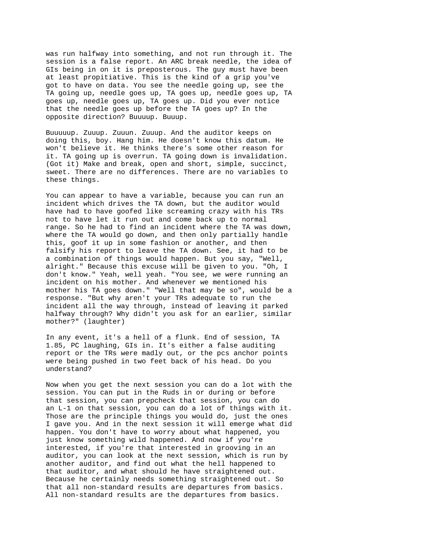was run halfway into something, and not run through it. The session is a false report. An ARC break needle, the idea of GIs being in on it is preposterous. The guy must have been at least propitiative. This is the kind of a grip you've got to have on data. You see the needle going up, see the TA going up, needle goes up, TA goes up, needle goes up, TA goes up, needle goes up, TA goes up. Did you ever notice that the needle goes up before the TA goes up? In the opposite direction? Buuuup. Buuup.

Buuuuup. Zuuup. Zuuun. Zuuup. And the auditor keeps on doing this, boy. Hang him. He doesn't know this datum. He won't believe it. He thinks there's some other reason for it. TA going up is overrun. TA going down is invalidation. (Got it) Make and break, open and short, simple, succinct, sweet. There are no differences. There are no variables to these things.

You can appear to have a variable, because you can run an incident which drives the TA down, but the auditor would have had to have goofed like screaming crazy with his TRs not to have let it run out and come back up to normal range. So he had to find an incident where the TA was down, where the TA would go down, and then only partially handle this, goof it up in some fashion or another, and then falsify his report to leave the TA down. See, it had to be a combination of things would happen. But you say, "Well, alright." Because this excuse will be given to you. "Oh, I don't know." Yeah, well yeah. "You see, we were running an incident on his mother. And whenever we mentioned his mother his TA goes down." "Well that may be so", would be a response. "But why aren't your TRs adequate to run the incident all the way through, instead of leaving it parked halfway through? Why didn't you ask for an earlier, similar mother?" (laughter)

In any event, it's a hell of a flunk. End of session, TA 1.85, PC laughing, GIs in. It's either a false auditing report or the TRs were madly out, or the pcs anchor points were being pushed in two feet back of his head. Do you understand?

Now when you get the next session you can do a lot with the session. You can put in the Ruds in or during or before that session, you can prepcheck that session, you can do an L-1 on that session, you can do a lot of things with it. Those are the principle things you would do, just the ones I gave you. And in the next session it will emerge what did happen. You don't have to worry about what happened, you just know something wild happened. And now if you're interested, if you're that interested in grooving in an auditor, you can look at the next session, which is run by another auditor, and find out what the hell happened to that auditor, and what should he have straightened out. Because he certainly needs something straightened out. So that all non-standard results are departures from basics. All non-standard results are the departures from basics.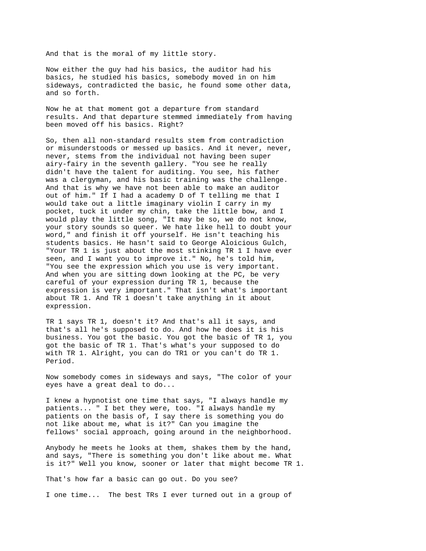And that is the moral of my little story.

Now either the guy had his basics, the auditor had his basics, he studied his basics, somebody moved in on him sideways, contradicted the basic, he found some other data, and so forth.

Now he at that moment got a departure from standard results. And that departure stemmed immediately from having been moved off his basics. Right?

So, then all non-standard results stem from contradiction or misunderstoods or messed up basics. And it never, never, never, stems from the individual not having been super airy-fairy in the seventh gallery. "You see he really didn't have the talent for auditing. You see, his father was a clergyman, and his basic training was the challenge. And that is why we have not been able to make an auditor out of him." If I had a academy D of T telling me that I would take out a little imaginary violin I carry in my pocket, tuck it under my chin, take the little bow, and I would play the little song, "It may be so, we do not know, your story sounds so queer. We hate like hell to doubt your word," and finish it off yourself. He isn't teaching his students basics. He hasn't said to George Aloicious Gulch, "Your TR 1 is just about the most stinking TR 1 I have ever seen, and I want you to improve it." No, he's told him, "You see the expression which you use is very important. And when you are sitting down looking at the PC, be very careful of your expression during TR 1, because the expression is very important." That isn't what's important about TR 1. And TR 1 doesn't take anything in it about expression.

TR 1 says TR 1, doesn't it? And that's all it says, and that's all he's supposed to do. And how he does it is his business. You got the basic. You got the basic of TR 1, you got the basic of TR 1. That's what's your supposed to do with TR 1. Alright, you can do TR1 or you can't do TR 1. Period.

Now somebody comes in sideways and says, "The color of your eyes have a great deal to do...

I knew a hypnotist one time that says, "I always handle my patients... " I bet they were, too. "I always handle my patients on the basis of, I say there is something you do not like about me, what is it?" Can you imagine the fellows' social approach, going around in the neighborhood.

Anybody he meets he looks at them, shakes them by the hand, and says, "There is something you don't like about me. What is it?" Well you know, sooner or later that might become TR 1.

That's how far a basic can go out. Do you see?

I one time... The best TRs I ever turned out in a group of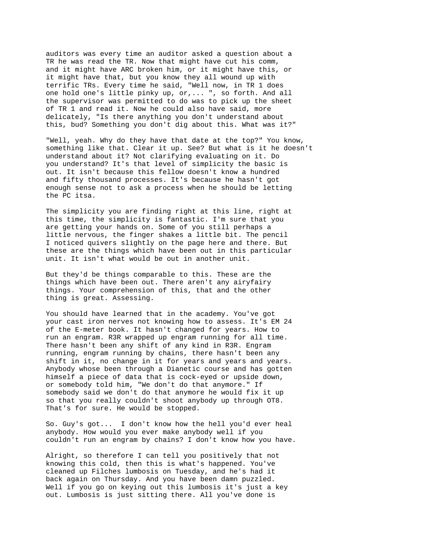auditors was every time an auditor asked a question about a TR he was read the TR. Now that might have cut his comm, and it might have ARC broken him, or it might have this, or it might have that, but you know they all wound up with terrific TRs. Every time he said, "Well now, in TR 1 does one hold one's little pinky up, or,... ", so forth. And all the supervisor was permitted to do was to pick up the sheet of TR 1 and read it. Now he could also have said, more delicately, "Is there anything you don't understand about this, bud? Something you don't dig about this. What was it?"

"Well, yeah. Why do they have that date at the top?" You know, something like that. Clear it up. See? But what is it he doesn't understand about it? Not clarifying evaluating on it. Do you understand? It's that level of simplicity the basic is out. It isn't because this fellow doesn't know a hundred and fifty thousand processes. It's because he hasn't got enough sense not to ask a process when he should be letting the PC itsa.

The simplicity you are finding right at this line, right at this time, the simplicity is fantastic. I'm sure that you are getting your hands on. Some of you still perhaps a little nervous, the finger shakes a little bit. The pencil I noticed quivers slightly on the page here and there. But these are the things which have been out in this particular unit. It isn't what would be out in another unit.

But they'd be things comparable to this. These are the things which have been out. There aren't any airyfairy things. Your comprehension of this, that and the other thing is great. Assessing.

You should have learned that in the academy. You've got your cast iron nerves not knowing how to assess. It's EM 24 of the E-meter book. It hasn't changed for years. How to run an engram. R3R wrapped up engram running for all time. There hasn't been any shift of any kind in R3R. Engram running, engram running by chains, there hasn't been any shift in it, no change in it for years and years and years. Anybody whose been through a Dianetic course and has gotten himself a piece of data that is cock-eyed or upside down, or somebody told him, "We don't do that anymore." If somebody said we don't do that anymore he would fix it up so that you really couldn't shoot anybody up through OT8. That's for sure. He would be stopped.

So. Guy's got... I don't know how the hell you'd ever heal anybody. How would you ever make anybody well if you couldn't run an engram by chains? I don't know how you have.

Alright, so therefore I can tell you positively that not knowing this cold, then this is what's happened. You've cleaned up Filches lumbosis on Tuesday, and he's had it back again on Thursday. And you have been damn puzzled. Well if you go on keying out this lumbosis it's just a key out. Lumbosis is just sitting there. All you've done is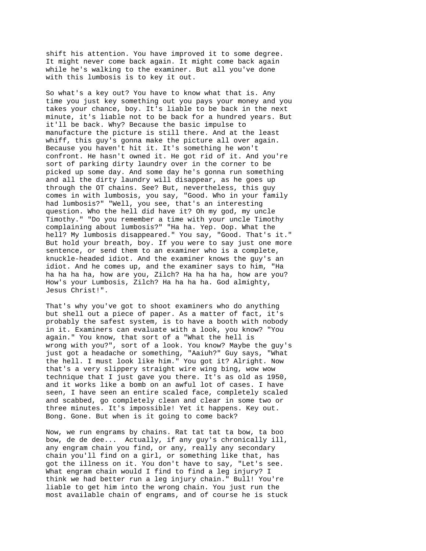shift his attention. You have improved it to some degree. It might never come back again. It might come back again while he's walking to the examiner. But all you've done with this lumbosis is to key it out.

So what's a key out? You have to know what that is. Any time you just key something out you pays your money and you takes your chance, boy. It's liable to be back in the next minute, it's liable not to be back for a hundred years. But it'll be back. Why? Because the basic impulse to manufacture the picture is still there. And at the least whiff, this guy's gonna make the picture all over again. Because you haven't hit it. It's something he won't confront. He hasn't owned it. He got rid of it. And you're sort of parking dirty laundry over in the corner to be picked up some day. And some day he's gonna run something and all the dirty laundry will disappear, as he goes up through the OT chains. See? But, nevertheless, this guy comes in with lumbosis, you say, "Good. Who in your family had lumbosis?" "Well, you see, that's an interesting question. Who the hell did have it? Oh my god, my uncle Timothy." "Do you remember a time with your uncle Timothy complaining about lumbosis?" "Ha ha. Yep. Oop. What the hell? My lumbosis disappeared." You say, "Good. That's it." But hold your breath, boy. If you were to say just one more sentence, or send them to an examiner who is a complete, knuckle-headed idiot. And the examiner knows the guy's an idiot. And he comes up, and the examiner says to him, "Ha ha ha ha ha, how are you, Zilch? Ha ha ha ha, how are you? How's your Lumbosis, Zilch? Ha ha ha ha. God almighty, Jesus Christ!".

That's why you've got to shoot examiners who do anything but shell out a piece of paper. As a matter of fact, it's probably the safest system, is to have a booth with nobody in it. Examiners can evaluate with a look, you know? "You again." You know, that sort of a "What the hell is wrong with you?", sort of a look. You know? Maybe the guy's just got a headache or something, "Aaiuh?" Guy says, "What the hell. I must look like him." You got it? Alright. Now that's a very slippery straight wire wing bing, wow wow technique that I just gave you there. It's as old as 1950, and it works like a bomb on an awful lot of cases. I have seen, I have seen an entire scaled face, completely scaled and scabbed, go completely clean and clear in some two or three minutes. It's impossible! Yet it happens. Key out. Bong. Gone. But when is it going to come back?

Now, we run engrams by chains. Rat tat tat ta bow, ta boo bow, de de dee... Actually, if any guy's chronically ill, any engram chain you find, or any, really any secondary chain you'll find on a girl, or something like that, has got the illness on it. You don't have to say, "Let's see. What engram chain would I find to find a leg injury? I think we had better run a leg injury chain." Bull! You're liable to get him into the wrong chain. You just run the most available chain of engrams, and of course he is stuck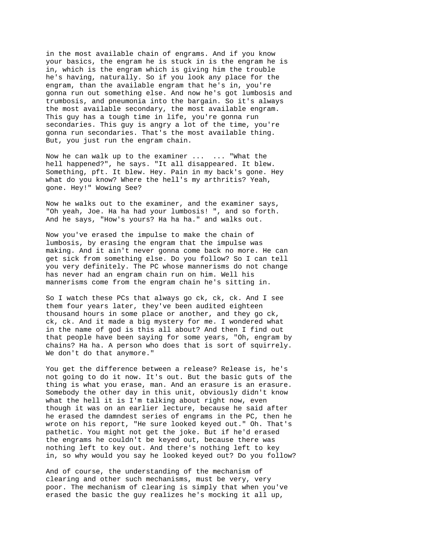in the most available chain of engrams. And if you know your basics, the engram he is stuck in is the engram he is in, which is the engram which is giving him the trouble he's having, naturally. So if you look any place for the engram, than the available engram that he's in, you're gonna run out something else. And now he's got lumbosis and trumbosis, and pneumonia into the bargain. So it's always the most available secondary, the most available engram. This guy has a tough time in life, you're gonna run secondaries. This guy is angry a lot of the time, you're gonna run secondaries. That's the most available thing. But, you just run the engram chain.

Now he can walk up to the examiner ... ... "What the hell happened?", he says. "It all disappeared. It blew. Something, pft. It blew. Hey. Pain in my back's gone. Hey what do you know? Where the hell's my arthritis? Yeah, gone. Hey!" Wowing See?

Now he walks out to the examiner, and the examiner says, "Oh yeah, Joe. Ha ha had your lumbosis! ", and so forth. And he says, "How's yours? Ha ha ha." and walks out.

Now you've erased the impulse to make the chain of lumbosis, by erasing the engram that the impulse was making. And it ain't never gonna come back no more. He can get sick from something else. Do you follow? So I can tell you very definitely. The PC whose mannerisms do not change has never had an engram chain run on him. Well his mannerisms come from the engram chain he's sitting in.

So I watch these PCs that always go ck, ck, ck. And I see them four years later, they've been audited eighteen thousand hours in some place or another, and they go ck, ck, ck. And it made a big mystery for me. I wondered what in the name of god is this all about? And then I find out that people have been saying for some years, "Oh, engram by chains? Ha ha. A person who does that is sort of squirrely. We don't do that anymore."

You get the difference between a release? Release is, he's not going to do it now. It's out. But the basic guts of the thing is what you erase, man. And an erasure is an erasure. Somebody the other day in this unit, obviously didn't know what the hell it is I'm talking about right now, even though it was on an earlier lecture, because he said after he erased the damndest series of engrams in the PC, then he wrote on his report, "He sure looked keyed out." Oh. That's pathetic. You might not get the joke. But if he'd erased the engrams he couldn't be keyed out, because there was nothing left to key out. And there's nothing left to key in, so why would you say he looked keyed out? Do you follow?

And of course, the understanding of the mechanism of clearing and other such mechanisms, must be very, very poor. The mechanism of clearing is simply that when you've erased the basic the guy realizes he's mocking it all up,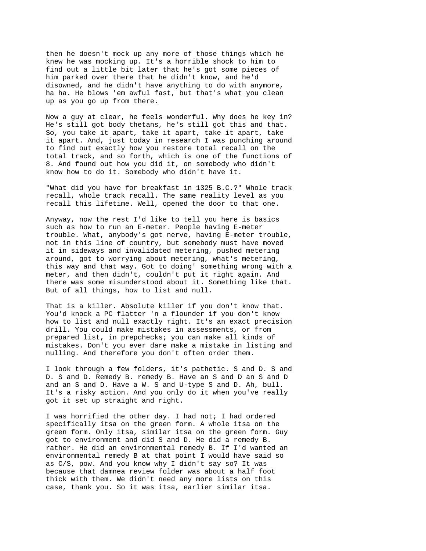then he doesn't mock up any more of those things which he knew he was mocking up. It's a horrible shock to him to find out a little bit later that he's got some pieces of him parked over there that he didn't know, and he'd disowned, and he didn't have anything to do with anymore, ha ha. He blows 'em awful fast, but that's what you clean up as you go up from there.

Now a guy at clear, he feels wonderful. Why does he key in? He's still got body thetans, he's still got this and that. So, you take it apart, take it apart, take it apart, take it apart. And, just today in research I was punching around to find out exactly how you restore total recall on the total track, and so forth, which is one of the functions of 8. And found out how you did it, on somebody who didn't know how to do it. Somebody who didn't have it.

"What did you have for breakfast in 1325 B.C.?" Whole track recall, whole track recall. The same reality level as you recall this lifetime. Well, opened the door to that one.

Anyway, now the rest I'd like to tell you here is basics such as how to run an E-meter. People having E-meter trouble. What, anybody's got nerve, having E-meter trouble, not in this line of country, but somebody must have moved it in sideways and invalidated metering, pushed metering around, got to worrying about metering, what's metering, this way and that way. Got to doing' something wrong with a meter, and then didn't, couldn't put it right again. And there was some misunderstood about it. Something like that. But of all things, how to list and null.

That is a killer. Absolute killer if you don't know that. You'd knock a PC flatter 'n a flounder if you don't know how to list and null exactly right. It's an exact precision drill. You could make mistakes in assessments, or from prepared list, in prepchecks; you can make all kinds of mistakes. Don't you ever dare make a mistake in listing and nulling. And therefore you don't often order them.

I look through a few folders, it's pathetic. S and D. S and D. S and D. Remedy B. remedy B. Have an S and D an S and D and an S and D. Have a W. S and U-type S and D. Ah, bull. It's a risky action. And you only do it when you've really got it set up straight and right.

I was horrified the other day. I had not; I had ordered specifically itsa on the green form. A whole itsa on the green form. Only itsa, similar itsa on the green form. Guy got to environment and did S and D. He did a remedy B. rather. He did an environmental remedy B. If I'd wanted an environmental remedy B at that point I would have said so as C/S, pow. And you know why I didn't say so? It was because that damnea review folder was about a half foot thick with them. We didn't need any more lists on this case, thank you. So it was itsa, earlier similar itsa.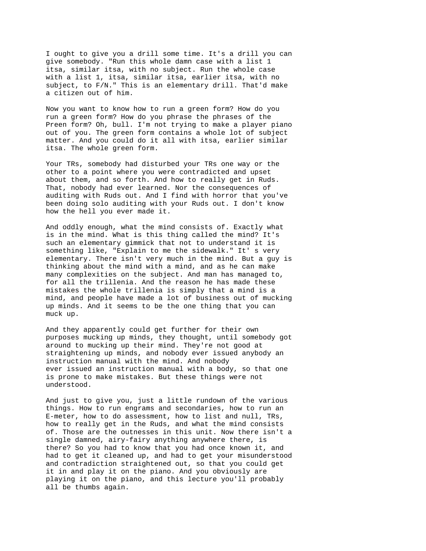I ought to give you a drill some time. It's a drill you can give somebody. "Run this whole damn case with a list 1 itsa, similar itsa, with no subject. Run the whole case with a list 1, itsa, similar itsa, earlier itsa, with no subject, to F/N." This is an elementary drill. That'd make a citizen out of him.

Now you want to know how to run a green form? How do you run a green form? How do you phrase the phrases of the Preen form? Oh, bull. I'm not trying to make a player piano out of you. The green form contains a whole lot of subject matter. And you could do it all with itsa, earlier similar itsa. The whole green form.

Your TRs, somebody had disturbed your TRs one way or the other to a point where you were contradicted and upset about them, and so forth. And how to really get in Ruds. That, nobody had ever learned. Nor the consequences of auditing with Ruds out. And I find with horror that you've been doing solo auditing with your Ruds out. I don't know how the hell you ever made it.

And oddly enough, what the mind consists of. Exactly what is in the mind. What is this thing called the mind? It's such an elementary gimmick that not to understand it is something like, "Explain to me the sidewalk." It' s very elementary. There isn't very much in the mind. But a guy is thinking about the mind with a mind, and as he can make many complexities on the subject. And man has managed to, for all the trillenia. And the reason he has made these mistakes the whole trillenia is simply that a mind is a mind, and people have made a lot of business out of mucking up minds. And it seems to be the one thing that you can muck up.

And they apparently could get further for their own purposes mucking up minds, they thought, until somebody got around to mucking up their mind. They're not good at straightening up minds, and nobody ever issued anybody an instruction manual with the mind. And nobody ever issued an instruction manual with a body, so that one is prone to make mistakes. But these things were not understood.

And just to give you, just a little rundown of the various things. How to run engrams and secondaries, how to run an E-meter, how to do assessment, how to list and null, TRs, how to really get in the Ruds, and what the mind consists of. Those are the outnesses in this unit. Now there isn't a single damned, airy-fairy anything anywhere there, is there? So you had to know that you had once known it, and had to get it cleaned up, and had to get your misunderstood and contradiction straightened out, so that you could get it in and play it on the piano. And you obviously are playing it on the piano, and this lecture you'll probably all be thumbs again.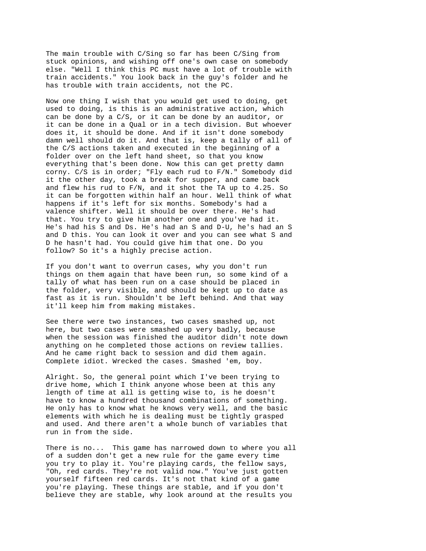The main trouble with C/Sing so far has been C/Sing from stuck opinions, and wishing off one's own case on somebody else. "Well I think this PC must have a lot of trouble with train accidents." You look back in the guy's folder and he has trouble with train accidents, not the PC.

Now one thing I wish that you would get used to doing, get used to doing, is this is an administrative action, which can be done by a C/S, or it can be done by an auditor, or it can be done in a Qual or in a tech division. But whoever does it, it should be done. And if it isn't done somebody damn well should do it. And that is, keep a tally of all of the C/S actions taken and executed in the beginning of a folder over on the left hand sheet, so that you know everything that's been done. Now this can get pretty damn corny. C/S is in order; "Fly each rud to F/N." Somebody did it the other day, took a break for supper, and came back and flew his rud to F/N, and it shot the TA up to 4.25. So it can be forgotten within half an hour. Well think of what happens if it's left for six months. Somebody's had a valence shifter. Well it should be over there. He's had that. You try to give him another one and you've had it. He's had his S and Ds. He's had an S and D-U, he's had an S and D this. You can look it over and you can see what S and D he hasn't had. You could give him that one. Do you follow? So it's a highly precise action.

If you don't want to overrun cases, why you don't run things on them again that have been run, so some kind of a tally of what has been run on a case should be placed in the folder, very visible, and should be kept up to date as fast as it is run. Shouldn't be left behind. And that way it'll keep him from making mistakes.

See there were two instances, two cases smashed up, not here, but two cases were smashed up very badly, because when the session was finished the auditor didn't note down anything on he completed those actions on review tallies. And he came right back to session and did them again. Complete idiot. Wrecked the cases. Smashed 'em, boy.

Alright. So, the general point which I've been trying to drive home, which I think anyone whose been at this any length of time at all is getting wise to, is he doesn't have to know a hundred thousand combinations of something. He only has to know what he knows very well, and the basic elements with which he is dealing must be tightly grasped and used. And there aren't a whole bunch of variables that run in from the side.

There is no... This game has narrowed down to where you all of a sudden don't get a new rule for the game every time you try to play it. You're playing cards, the fellow says, "Oh, red cards. They're not valid now." You've just gotten yourself fifteen red cards. It's not that kind of a game you're playing. These things are stable, and if you don't believe they are stable, why look around at the results you